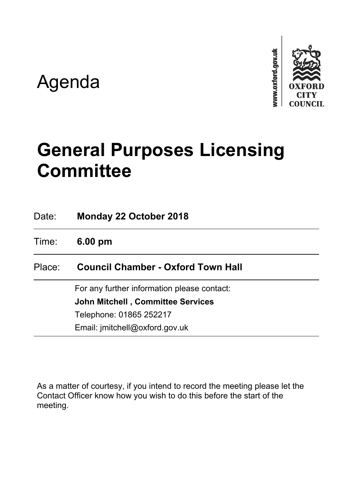# Agenda



# **General Purposes Licensing Committee**

| Date:  | Monday 22 October 2018                      |
|--------|---------------------------------------------|
| Time:  | $6.00 \text{ pm}$                           |
| Place: | <b>Council Chamber - Oxford Town Hall</b>   |
|        | For any further information please contact: |
|        | <b>John Mitchell, Committee Services</b>    |
|        | Telephone: 01865 252217                     |
|        | Email: jmitchell@oxford.gov.uk              |

As a matter of courtesy, if you intend to record the meeting please let the Contact Officer know how you wish to do this before the start of the meeting.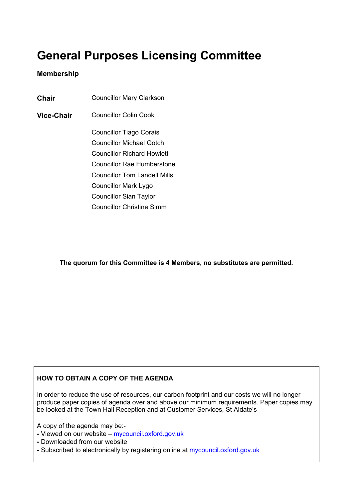# **General Purposes Licensing Committee**

## **Membership**

**Chair** Councillor Mary Clarkson

**Vice-Chair** Councillor Colin Cook

Councillor Tiago Corais Councillor Michael Gotch Councillor Richard Howlett Councillor Rae Humberstone Councillor Tom Landell Mills Councillor Mark Lygo Councillor Sian Taylor Councillor Christine Simm

**The quorum for this Committee is 4 Members, no substitutes are permitted.**

### **HOW TO OBTAIN A COPY OF THE AGENDA**

In order to reduce the use of resources, our carbon footprint and our costs we will no longer produce paper copies of agenda over and above our minimum requirements. Paper copies may be looked at the Town Hall Reception and at Customer Services, St Aldate's

A copy of the agenda may be:-

- **-** Viewed on our website mycouncil.oxford.gov.uk
- **-** Downloaded from our website
- **-** Subscribed to electronically by registering online at mycouncil.oxford.gov.uk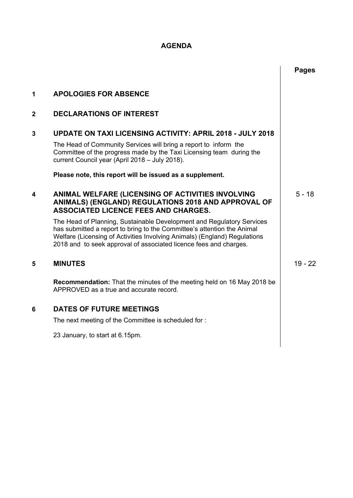# **AGENDA**

|              |                                                                                                                                                                                                                                                                                                    | <b>Pages</b> |
|--------------|----------------------------------------------------------------------------------------------------------------------------------------------------------------------------------------------------------------------------------------------------------------------------------------------------|--------------|
| 1            | <b>APOLOGIES FOR ABSENCE</b>                                                                                                                                                                                                                                                                       |              |
| $\mathbf{2}$ | <b>DECLARATIONS OF INTEREST</b>                                                                                                                                                                                                                                                                    |              |
| 3            | <b>UPDATE ON TAXI LICENSING ACTIVITY: APRIL 2018 - JULY 2018</b>                                                                                                                                                                                                                                   |              |
|              | The Head of Community Services will bring a report to inform the<br>Committee of the progress made by the Taxi Licensing team during the<br>current Council year (April 2018 - July 2018).                                                                                                         |              |
|              | Please note, this report will be issued as a supplement.                                                                                                                                                                                                                                           |              |
| 4            | ANIMAL WELFARE (LICENSING OF ACTIVITIES INVOLVING<br>ANIMALS) (ENGLAND) REGULATIONS 2018 AND APPROVAL OF<br><b>ASSOCIATED LICENCE FEES AND CHARGES.</b>                                                                                                                                            | $5 - 18$     |
|              | The Head of Planning, Sustainable Development and Regulatory Services<br>has submitted a report to bring to the Committee's attention the Animal<br>Welfare (Licensing of Activities Involving Animals) (England) Regulations<br>2018 and to seek approval of associated licence fees and charges. |              |
| 5            | <b>MINUTES</b>                                                                                                                                                                                                                                                                                     | $19 - 22$    |
|              | <b>Recommendation:</b> That the minutes of the meeting held on 16 May 2018 be<br>APPROVED as a true and accurate record.                                                                                                                                                                           |              |
| 6            | <b>DATES OF FUTURE MEETINGS</b>                                                                                                                                                                                                                                                                    |              |
|              | The next meeting of the Committee is scheduled for:                                                                                                                                                                                                                                                |              |
|              | 23 January, to start at 6.15pm.                                                                                                                                                                                                                                                                    |              |
|              |                                                                                                                                                                                                                                                                                                    |              |